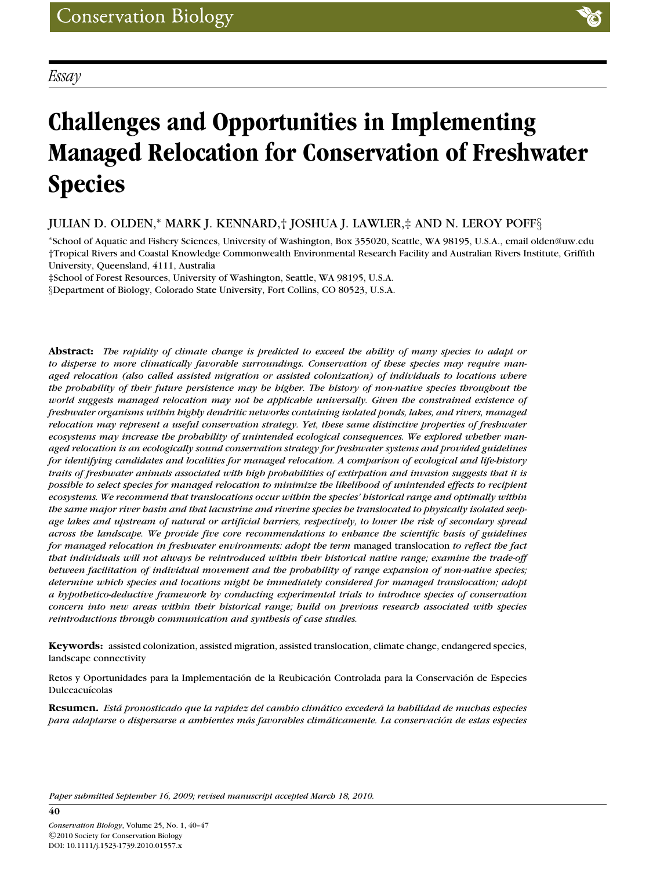# **Challenges and Opportunities in Implementing Managed Relocation for Conservation of Freshwater Species**

## JULIAN D. OLDEN,<sup>∗</sup> MARK J. KENNARD,† JOSHUA J. LAWLER,‡ AND N. LEROY POFF§

<sup>∗</sup>School of Aquatic and Fishery Sciences, University of Washington, Box 355020, Seattle, WA 98195, U.S.A., email olden@uw.edu †Tropical Rivers and Coastal Knowledge Commonwealth Environmental Research Facility and Australian Rivers Institute, Griffith University, Queensland, 4111, Australia

‡School of Forest Resources, University of Washington, Seattle, WA 98195, U.S.A. §Department of Biology, Colorado State University, Fort Collins, CO 80523, U.S.A.

**Abstract:** *The rapidity of climate change is predicted to exceed the ability of many species to adapt or to disperse to more climatically favorable surroundings. Conservation of these species may require managed relocation (also called assisted migration or assisted colonization) of individuals to locations where the probability of their future persistence may be higher. The history of non-native species throughout the world suggests managed relocation may not be applicable universally. Given the constrained existence of freshwater organisms within highly dendritic networks containing isolated ponds, lakes, and rivers, managed relocation may represent a useful conservation strategy. Yet, these same distinctive properties of freshwater ecosystems may increase the probability of unintended ecological consequences. We explored whether managed relocation is an ecologically sound conservation strategy for freshwater systems and provided guidelines for identifying candidates and localities for managed relocation. A comparison of ecological and life-history traits of freshwater animals associated with high probabilities of extirpation and invasion suggests that it is possible to select species for managed relocation to minimize the likelihood of unintended effects to recipient ecosystems. We recommend that translocations occur within the species' historical range and optimally within the same major river basin and that lacustrine and riverine species be translocated to physically isolated seepage lakes and upstream of natural or artificial barriers, respectively, to lower the risk of secondary spread across the landscape. We provide five core recommendations to enhance the scientific basis of guidelines for managed relocation in freshwater environments: adopt the term* managed translocation *to reflect the fact that individuals will not always be reintroduced within their historical native range; examine the trade-off between facilitation of individual movement and the probability of range expansion of non-native species; determine which species and locations might be immediately considered for managed translocation; adopt a hypothetico-deductive framework by conducting experimental trials to introduce species of conservation concern into new areas within their historical range; build on previous research associated with species reintroductions through communication and synthesis of case studies.*

**Keywords:** assisted colonization, assisted migration, assisted translocation, climate change, endangered species, landscape connectivity

Retos y Oportunidades para la Implementación de la Reubicación Controlada para la Conservación de Especies Dulceacuícolas

**Resumen.** *Esta pronosticado que la rapidez del cambio clim ´ atico exceder ´ a la habilidad de muchas especies ´ para adaptarse o dispersarse a ambientes mas favorables clim ´ aticamente. La conservaci ´ on de estas especies ´*

*Paper submitted September 16, 2009; revised manuscript accepted March 18, 2010.*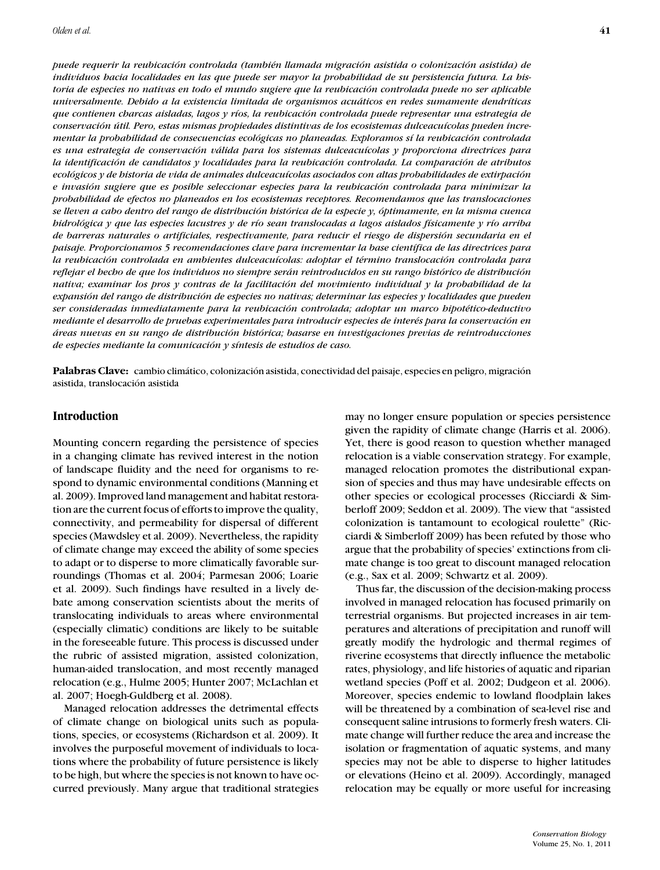*puede requerir la reubicacion controlada (tambi ´ ´en llamada migracion asistida o colonizaci ´ on asistida) de ´ individuos hacia localidades en las que puede ser mayor la probabilidad de su persistencia futura. La historia de especies no nativas en todo el mundo sugiere que la reubicacion controlada puede no ser aplicable ´ universalmente. Debido a la existencia limitada de organismos acuaticos en redes sumamente dendr ´ ´ıticas que contienen charcas aisladas, lagos y r´ıos, la reubicacion controlada puede representar una estrategia de ´ conservacion´ util. Pero, estas mismas propiedades distintivas de los ecosistemas dulceacu ´ ´ıcolas pueden incrementar la probabilidad de consecuencias ecologicas no planeadas. Exploramos s ´ ´ı la reubicacion controlada ´ es una estrategia de conservacion v ´ alida para los sistemas dulceacu ´ ´ıcolas y proporciona directrices para la identificacion de candidatos y localidades para la reubicaci ´ on controlada. La comparaci ´ on de atributos ´ ecologicos y de historia de vida de animales dulceacu ´ ´ıcolas asociados con altas probabilidades de extirpacion´ e invasion sugiere que es posible seleccionar especies para la reubicaci ´ on controlada para minimizar la ´ probabilidad de efectos no planeados en los ecosistemas receptores. Recomendamos que las translocaciones se lleven a cabo dentro del rango de distribucion hist ´ orica de la especie y, ´ optimamente, en la misma cuenca ´ hidrologica y que las especies lacustres y de r ´ ´ıo sean translocadas a lagos aislados f´ısicamente y r´ıo arriba de barreras naturales o artificiales, respectivamente, para reducir el riesgo de dispersion secundaria en el ´ paisaje. Proporcionamos 5 recomendaciones clave para incrementar la base cient´ıfica de las directrices para la reubicacion controlada en ambientes dulceacu ´ ´ıcolas: adoptar el t´ermino translocacion controlada para ´ reflejar el hecho de que los individuos no siempre seran reintroducidos en su rango hist ´ orico de distribuci ´ on´ nativa; examinar los pros y contras de la facilitacion del movimiento individual y la probabilidad de la ´ expansion del rango de distribuci ´ on de especies no nativas; determinar las especies y localidades que pueden ´ ser consideradas inmediatamente para la reubicacion controlada; adoptar un marco hipot ´ ´etico-deductivo mediante el desarrollo de pruebas experimentales para introducir especies de inter´es para la conservacion en ´ areas nuevas en su rango de distribuci ´ on hist ´ orica; basarse en investigaciones previas de reintroducciones ´ de especies mediante la comunicacion y s ´ ´ıntesis de estudios de caso.*

Palabras Clave: cambio climático, colonización asistida, conectividad del paisaje, especies en peligro, migración asistida, translocacion asistida ´

#### **Introduction**

Mounting concern regarding the persistence of species in a changing climate has revived interest in the notion of landscape fluidity and the need for organisms to respond to dynamic environmental conditions (Manning et al. 2009). Improved land management and habitat restoration are the current focus of efforts to improve the quality, connectivity, and permeability for dispersal of different species (Mawdsley et al. 2009). Nevertheless, the rapidity of climate change may exceed the ability of some species to adapt or to disperse to more climatically favorable surroundings (Thomas et al. 2004; Parmesan 2006; Loarie et al. 2009). Such findings have resulted in a lively debate among conservation scientists about the merits of translocating individuals to areas where environmental (especially climatic) conditions are likely to be suitable in the foreseeable future. This process is discussed under the rubric of assisted migration, assisted colonization, human-aided translocation, and most recently managed relocation (e.g., Hulme 2005; Hunter 2007; McLachlan et al. 2007; Hoegh-Guldberg et al. 2008).

Managed relocation addresses the detrimental effects of climate change on biological units such as populations, species, or ecosystems (Richardson et al. 2009). It involves the purposeful movement of individuals to locations where the probability of future persistence is likely to be high, but where the species is not known to have occurred previously. Many argue that traditional strategies may no longer ensure population or species persistence given the rapidity of climate change (Harris et al. 2006). Yet, there is good reason to question whether managed relocation is a viable conservation strategy. For example, managed relocation promotes the distributional expansion of species and thus may have undesirable effects on other species or ecological processes (Ricciardi & Simberloff 2009; Seddon et al. 2009). The view that "assisted colonization is tantamount to ecological roulette" (Ricciardi & Simberloff 2009) has been refuted by those who argue that the probability of species' extinctions from climate change is too great to discount managed relocation (e.g., Sax et al. 2009; Schwartz et al. 2009).

Thus far, the discussion of the decision-making process involved in managed relocation has focused primarily on terrestrial organisms. But projected increases in air temperatures and alterations of precipitation and runoff will greatly modify the hydrologic and thermal regimes of riverine ecosystems that directly influence the metabolic rates, physiology, and life histories of aquatic and riparian wetland species (Poff et al. 2002; Dudgeon et al. 2006). Moreover, species endemic to lowland floodplain lakes will be threatened by a combination of sea-level rise and consequent saline intrusions to formerly fresh waters. Climate change will further reduce the area and increase the isolation or fragmentation of aquatic systems, and many species may not be able to disperse to higher latitudes or elevations (Heino et al. 2009). Accordingly, managed relocation may be equally or more useful for increasing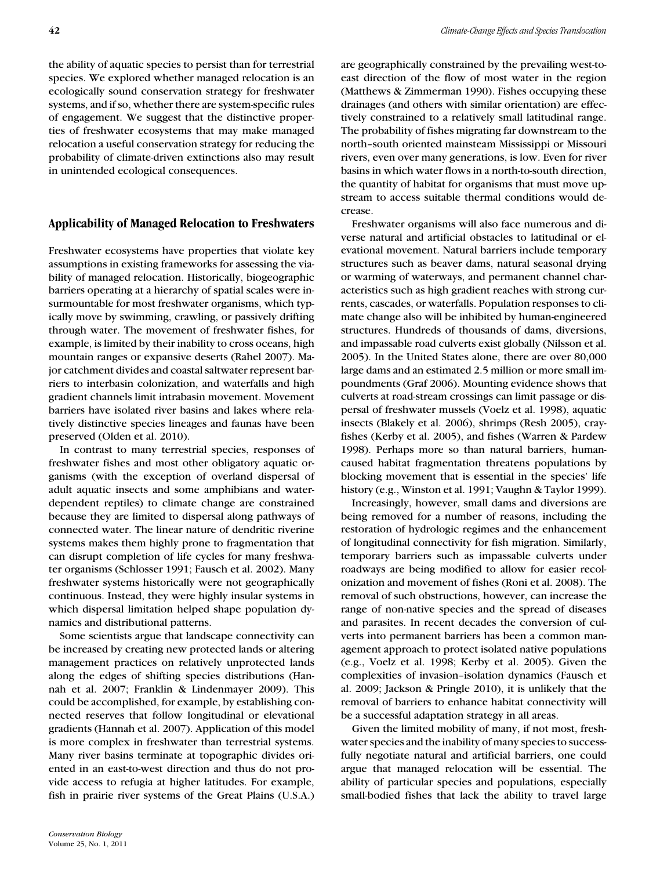the ability of aquatic species to persist than for terrestrial species. We explored whether managed relocation is an ecologically sound conservation strategy for freshwater systems, and if so, whether there are system-specific rules of engagement. We suggest that the distinctive properties of freshwater ecosystems that may make managed relocation a useful conservation strategy for reducing the probability of climate-driven extinctions also may result in unintended ecological consequences.

### **Applicability of Managed Relocation to Freshwaters**

Freshwater ecosystems have properties that violate key assumptions in existing frameworks for assessing the viability of managed relocation. Historically, biogeographic barriers operating at a hierarchy of spatial scales were insurmountable for most freshwater organisms, which typically move by swimming, crawling, or passively drifting through water. The movement of freshwater fishes, for example, is limited by their inability to cross oceans, high mountain ranges or expansive deserts (Rahel 2007). Major catchment divides and coastal saltwater represent barriers to interbasin colonization, and waterfalls and high gradient channels limit intrabasin movement. Movement barriers have isolated river basins and lakes where relatively distinctive species lineages and faunas have been preserved (Olden et al. 2010).

In contrast to many terrestrial species, responses of freshwater fishes and most other obligatory aquatic organisms (with the exception of overland dispersal of adult aquatic insects and some amphibians and waterdependent reptiles) to climate change are constrained because they are limited to dispersal along pathways of connected water. The linear nature of dendritic riverine systems makes them highly prone to fragmentation that can disrupt completion of life cycles for many freshwater organisms (Schlosser 1991; Fausch et al. 2002). Many freshwater systems historically were not geographically continuous. Instead, they were highly insular systems in which dispersal limitation helped shape population dynamics and distributional patterns.

Some scientists argue that landscape connectivity can be increased by creating new protected lands or altering management practices on relatively unprotected lands along the edges of shifting species distributions (Hannah et al. 2007; Franklin & Lindenmayer 2009). This could be accomplished, for example, by establishing connected reserves that follow longitudinal or elevational gradients (Hannah et al. 2007). Application of this model is more complex in freshwater than terrestrial systems. Many river basins terminate at topographic divides oriented in an east-to-west direction and thus do not provide access to refugia at higher latitudes. For example, fish in prairie river systems of the Great Plains (U.S.A.)

are geographically constrained by the prevailing west-toeast direction of the flow of most water in the region (Matthews & Zimmerman 1990). Fishes occupying these drainages (and others with similar orientation) are effectively constrained to a relatively small latitudinal range. The probability of fishes migrating far downstream to the north–south oriented mainsteam Mississippi or Missouri rivers, even over many generations, is low. Even for river basins in which water flows in a north-to-south direction, the quantity of habitat for organisms that must move upstream to access suitable thermal conditions would decrease.

Freshwater organisms will also face numerous and diverse natural and artificial obstacles to latitudinal or elevational movement. Natural barriers include temporary structures such as beaver dams, natural seasonal drying or warming of waterways, and permanent channel characteristics such as high gradient reaches with strong currents, cascades, or waterfalls. Population responses to climate change also will be inhibited by human-engineered structures. Hundreds of thousands of dams, diversions, and impassable road culverts exist globally (Nilsson et al. 2005). In the United States alone, there are over 80,000 large dams and an estimated 2.5 million or more small impoundments (Graf 2006). Mounting evidence shows that culverts at road-stream crossings can limit passage or dispersal of freshwater mussels (Voelz et al. 1998), aquatic insects (Blakely et al. 2006), shrimps (Resh 2005), crayfishes (Kerby et al. 2005), and fishes (Warren & Pardew 1998). Perhaps more so than natural barriers, humancaused habitat fragmentation threatens populations by blocking movement that is essential in the species' life history (e.g., Winston et al. 1991; Vaughn & Taylor 1999).

Increasingly, however, small dams and diversions are being removed for a number of reasons, including the restoration of hydrologic regimes and the enhancement of longitudinal connectivity for fish migration. Similarly, temporary barriers such as impassable culverts under roadways are being modified to allow for easier recolonization and movement of fishes (Roni et al. 2008). The removal of such obstructions, however, can increase the range of non-native species and the spread of diseases and parasites. In recent decades the conversion of culverts into permanent barriers has been a common management approach to protect isolated native populations (e.g., Voelz et al. 1998; Kerby et al. 2005). Given the complexities of invasion–isolation dynamics (Fausch et al. 2009; Jackson & Pringle 2010), it is unlikely that the removal of barriers to enhance habitat connectivity will be a successful adaptation strategy in all areas.

Given the limited mobility of many, if not most, freshwater species and the inability of many species to successfully negotiate natural and artificial barriers, one could argue that managed relocation will be essential. The ability of particular species and populations, especially small-bodied fishes that lack the ability to travel large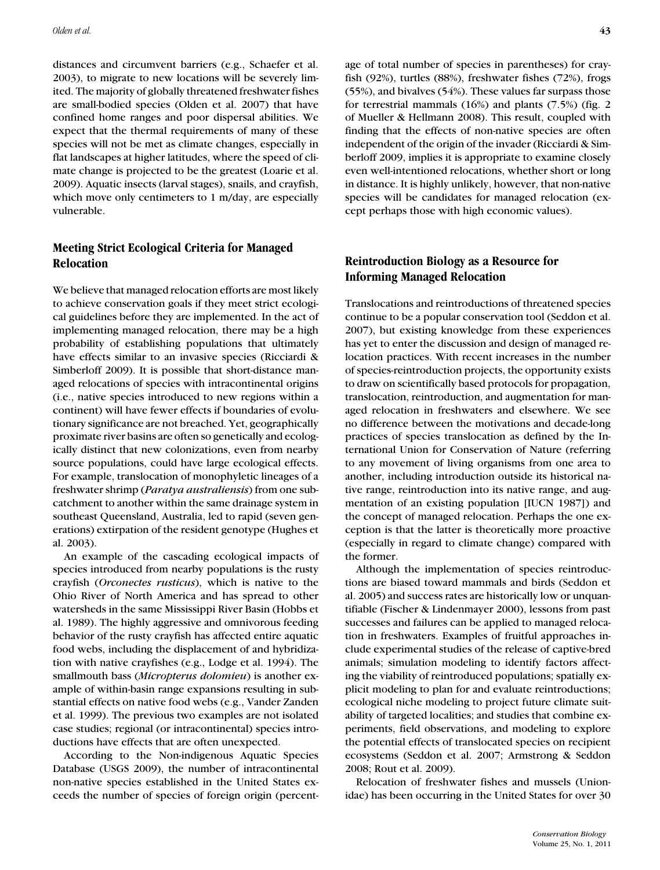distances and circumvent barriers (e.g., Schaefer et al. 2003), to migrate to new locations will be severely limited. The majority of globally threatened freshwater fishes are small-bodied species (Olden et al. 2007) that have confined home ranges and poor dispersal abilities. We expect that the thermal requirements of many of these species will not be met as climate changes, especially in flat landscapes at higher latitudes, where the speed of climate change is projected to be the greatest (Loarie et al. 2009). Aquatic insects (larval stages), snails, and crayfish, which move only centimeters to 1 m/day, are especially vulnerable.

# **Meeting Strict Ecological Criteria for Managed Relocation**

We believe that managed relocation efforts are most likely to achieve conservation goals if they meet strict ecological guidelines before they are implemented. In the act of implementing managed relocation, there may be a high probability of establishing populations that ultimately have effects similar to an invasive species (Ricciardi & Simberloff 2009). It is possible that short-distance managed relocations of species with intracontinental origins (i.e., native species introduced to new regions within a continent) will have fewer effects if boundaries of evolutionary significance are not breached. Yet, geographically proximate river basins are often so genetically and ecologically distinct that new colonizations, even from nearby source populations, could have large ecological effects. For example, translocation of monophyletic lineages of a freshwater shrimp (*Paratya australiensis*) from one subcatchment to another within the same drainage system in southeast Queensland, Australia, led to rapid (seven generations) extirpation of the resident genotype (Hughes et al. 2003).

An example of the cascading ecological impacts of species introduced from nearby populations is the rusty crayfish (*Orconectes rusticus*), which is native to the Ohio River of North America and has spread to other watersheds in the same Mississippi River Basin (Hobbs et al. 1989). The highly aggressive and omnivorous feeding behavior of the rusty crayfish has affected entire aquatic food webs, including the displacement of and hybridization with native crayfishes (e.g., Lodge et al. 1994). The smallmouth bass (*Micropterus dolomieu*) is another example of within-basin range expansions resulting in substantial effects on native food webs (e.g., Vander Zanden et al. 1999). The previous two examples are not isolated case studies; regional (or intracontinental) species introductions have effects that are often unexpected.

According to the Non-indigenous Aquatic Species Database (USGS 2009), the number of intracontinental non-native species established in the United States exceeds the number of species of foreign origin (percentage of total number of species in parentheses) for crayfish (92%), turtles (88%), freshwater fishes (72%), frogs (55%), and bivalves (54%). These values far surpass those for terrestrial mammals (16%) and plants (7.5%) (fig. 2 of Mueller & Hellmann 2008). This result, coupled with finding that the effects of non-native species are often independent of the origin of the invader (Ricciardi & Simberloff 2009, implies it is appropriate to examine closely even well-intentioned relocations, whether short or long in distance. It is highly unlikely, however, that non-native species will be candidates for managed relocation (except perhaps those with high economic values).

# **Reintroduction Biology as a Resource for Informing Managed Relocation**

Translocations and reintroductions of threatened species continue to be a popular conservation tool (Seddon et al. 2007), but existing knowledge from these experiences has yet to enter the discussion and design of managed relocation practices. With recent increases in the number of species-reintroduction projects, the opportunity exists to draw on scientifically based protocols for propagation, translocation, reintroduction, and augmentation for managed relocation in freshwaters and elsewhere. We see no difference between the motivations and decade-long practices of species translocation as defined by the International Union for Conservation of Nature (referring to any movement of living organisms from one area to another, including introduction outside its historical native range, reintroduction into its native range, and augmentation of an existing population [IUCN 1987]) and the concept of managed relocation. Perhaps the one exception is that the latter is theoretically more proactive (especially in regard to climate change) compared with the former.

Although the implementation of species reintroductions are biased toward mammals and birds (Seddon et al. 2005) and success rates are historically low or unquantifiable (Fischer & Lindenmayer 2000), lessons from past successes and failures can be applied to managed relocation in freshwaters. Examples of fruitful approaches include experimental studies of the release of captive-bred animals; simulation modeling to identify factors affecting the viability of reintroduced populations; spatially explicit modeling to plan for and evaluate reintroductions; ecological niche modeling to project future climate suitability of targeted localities; and studies that combine experiments, field observations, and modeling to explore the potential effects of translocated species on recipient ecosystems (Seddon et al. 2007; Armstrong & Seddon 2008; Rout et al. 2009).

Relocation of freshwater fishes and mussels (Unionidae) has been occurring in the United States for over 30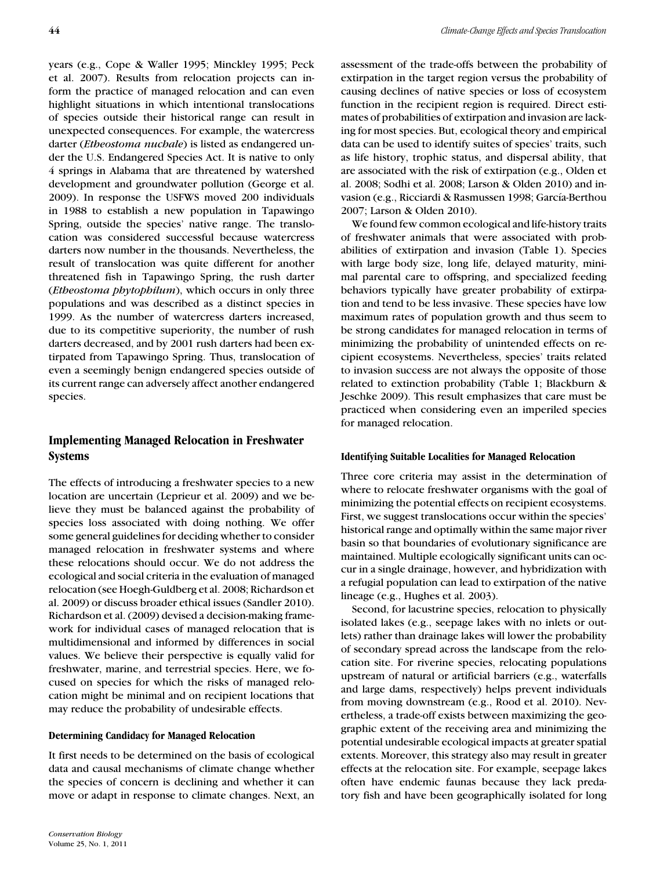years (e.g., Cope & Waller 1995; Minckley 1995; Peck et al. 2007). Results from relocation projects can inform the practice of managed relocation and can even highlight situations in which intentional translocations of species outside their historical range can result in unexpected consequences. For example, the watercress darter (*Etheostoma nuchale*) is listed as endangered under the U.S. Endangered Species Act. It is native to only 4 springs in Alabama that are threatened by watershed development and groundwater pollution (George et al. 2009). In response the USFWS moved 200 individuals in 1988 to establish a new population in Tapawingo Spring, outside the species' native range. The translocation was considered successful because watercress darters now number in the thousands. Nevertheless, the result of translocation was quite different for another threatened fish in Tapawingo Spring, the rush darter (*Etheostoma phytophilum*), which occurs in only three populations and was described as a distinct species in 1999. As the number of watercress darters increased, due to its competitive superiority, the number of rush darters decreased, and by 2001 rush darters had been extirpated from Tapawingo Spring. Thus, translocation of even a seemingly benign endangered species outside of its current range can adversely affect another endangered species.

# **Implementing Managed Relocation in Freshwater Systems**

The effects of introducing a freshwater species to a new location are uncertain (Leprieur et al. 2009) and we believe they must be balanced against the probability of species loss associated with doing nothing. We offer some general guidelines for deciding whether to consider managed relocation in freshwater systems and where these relocations should occur. We do not address the ecological and social criteria in the evaluation of managed relocation (see Hoegh-Guldberg et al. 2008; Richardson et al. 2009) or discuss broader ethical issues (Sandler 2010). Richardson et al. (2009) devised a decision-making framework for individual cases of managed relocation that is multidimensional and informed by differences in social values. We believe their perspective is equally valid for freshwater, marine, and terrestrial species. Here, we focused on species for which the risks of managed relocation might be minimal and on recipient locations that may reduce the probability of undesirable effects.

#### **Determining Candidacy for Managed Relocation**

It first needs to be determined on the basis of ecological data and causal mechanisms of climate change whether the species of concern is declining and whether it can move or adapt in response to climate changes. Next, an

assessment of the trade-offs between the probability of extirpation in the target region versus the probability of causing declines of native species or loss of ecosystem function in the recipient region is required. Direct estimates of probabilities of extirpation and invasion are lacking for most species. But, ecological theory and empirical data can be used to identify suites of species' traits, such as life history, trophic status, and dispersal ability, that are associated with the risk of extirpation (e.g., Olden et al. 2008; Sodhi et al. 2008; Larson & Olden 2010) and invasion (e.g., Ricciardi & Rasmussen 1998; García-Berthou 2007; Larson & Olden 2010).

We found few common ecological and life-history traits of freshwater animals that were associated with probabilities of extirpation and invasion (Table 1). Species with large body size, long life, delayed maturity, minimal parental care to offspring, and specialized feeding behaviors typically have greater probability of extirpation and tend to be less invasive. These species have low maximum rates of population growth and thus seem to be strong candidates for managed relocation in terms of minimizing the probability of unintended effects on recipient ecosystems. Nevertheless, species' traits related to invasion success are not always the opposite of those related to extinction probability (Table 1; Blackburn & Jeschke 2009). This result emphasizes that care must be practiced when considering even an imperiled species for managed relocation.

#### **Identifying Suitable Localities for Managed Relocation**

Three core criteria may assist in the determination of where to relocate freshwater organisms with the goal of minimizing the potential effects on recipient ecosystems. First, we suggest translocations occur within the species' historical range and optimally within the same major river basin so that boundaries of evolutionary significance are maintained. Multiple ecologically significant units can occur in a single drainage, however, and hybridization with a refugial population can lead to extirpation of the native lineage (e.g., Hughes et al. 2003).

Second, for lacustrine species, relocation to physically isolated lakes (e.g., seepage lakes with no inlets or outlets) rather than drainage lakes will lower the probability of secondary spread across the landscape from the relocation site. For riverine species, relocating populations upstream of natural or artificial barriers (e.g., waterfalls and large dams, respectively) helps prevent individuals from moving downstream (e.g., Rood et al. 2010). Nevertheless, a trade-off exists between maximizing the geographic extent of the receiving area and minimizing the potential undesirable ecological impacts at greater spatial extents. Moreover, this strategy also may result in greater effects at the relocation site. For example, seepage lakes often have endemic faunas because they lack predatory fish and have been geographically isolated for long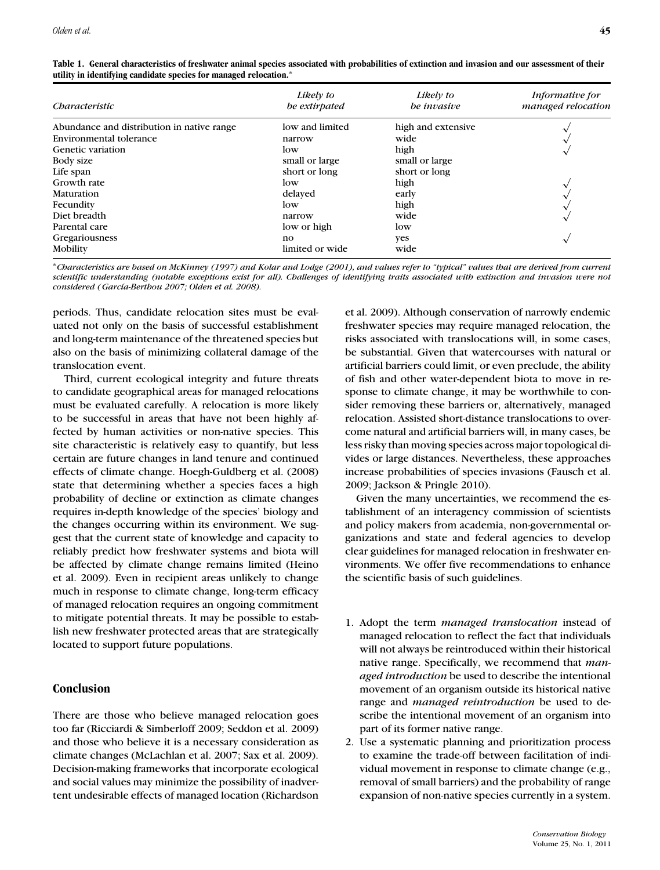| <i>Characteristic</i>                      | Likely to<br>be extirpated | Likely to<br>be <i>invasive</i> | Informative for<br>managed relocation |
|--------------------------------------------|----------------------------|---------------------------------|---------------------------------------|
| Abundance and distribution in native range | low and limited            | high and extensive              |                                       |
| Environmental tolerance                    | narrow                     | wide                            |                                       |
| Genetic variation                          | low                        | high                            |                                       |
| Body size                                  | small or large             | small or large                  |                                       |
| Life span                                  | short or long              | short or long                   |                                       |
| Growth rate                                | low                        | high                            |                                       |
| Maturation                                 | delayed                    | early                           |                                       |
| Fecundity                                  | low                        | high                            |                                       |
| Diet breadth                               | narrow                     | wide                            |                                       |
| Parental care                              | low or high                | low                             |                                       |
| Gregariousness                             | no                         | yes                             | $\sim$                                |
| Mobility                                   | limited or wide            | wide                            |                                       |

| Table 1. General characteristics of freshwater animal species associated with probabilities of extinction and invasion and our assessment of their |  |  |  |
|----------------------------------------------------------------------------------------------------------------------------------------------------|--|--|--|
| utility in identifying candidate species for managed relocation.*                                                                                  |  |  |  |

∗*Characteristics are based on McKinney (1997) and Kolar and Lodge (2001), and values refer to "typical" values that are derived from current scientific understanding (notable exceptions exist for all). Challenges of identifying traits associated with extinction and invasion were not considered ( Garc´ıa-Berthou 2007; Olden et al. 2008).*

periods. Thus, candidate relocation sites must be evaluated not only on the basis of successful establishment and long-term maintenance of the threatened species but also on the basis of minimizing collateral damage of the translocation event.

Third, current ecological integrity and future threats to candidate geographical areas for managed relocations must be evaluated carefully. A relocation is more likely to be successful in areas that have not been highly affected by human activities or non-native species. This site characteristic is relatively easy to quantify, but less certain are future changes in land tenure and continued effects of climate change. Hoegh-Guldberg et al. (2008) state that determining whether a species faces a high probability of decline or extinction as climate changes requires in-depth knowledge of the species' biology and the changes occurring within its environment. We suggest that the current state of knowledge and capacity to reliably predict how freshwater systems and biota will be affected by climate change remains limited (Heino et al. 2009). Even in recipient areas unlikely to change much in response to climate change, long-term efficacy of managed relocation requires an ongoing commitment to mitigate potential threats. It may be possible to establish new freshwater protected areas that are strategically located to support future populations.

#### **Conclusion**

There are those who believe managed relocation goes too far (Ricciardi & Simberloff 2009; Seddon et al. 2009) and those who believe it is a necessary consideration as climate changes (McLachlan et al. 2007; Sax et al. 2009). Decision-making frameworks that incorporate ecological and social values may minimize the possibility of inadvertent undesirable effects of managed location (Richardson et al. 2009). Although conservation of narrowly endemic freshwater species may require managed relocation, the risks associated with translocations will, in some cases, be substantial. Given that watercourses with natural or artificial barriers could limit, or even preclude, the ability of fish and other water-dependent biota to move in response to climate change, it may be worthwhile to consider removing these barriers or, alternatively, managed relocation. Assisted short-distance translocations to overcome natural and artificial barriers will, in many cases, be less risky than moving species across major topological divides or large distances. Nevertheless, these approaches increase probabilities of species invasions (Fausch et al. 2009; Jackson & Pringle 2010).

Given the many uncertainties, we recommend the establishment of an interagency commission of scientists and policy makers from academia, non-governmental organizations and state and federal agencies to develop clear guidelines for managed relocation in freshwater environments. We offer five recommendations to enhance the scientific basis of such guidelines.

- 1. Adopt the term *managed translocation* instead of managed relocation to reflect the fact that individuals will not always be reintroduced within their historical native range. Specifically, we recommend that *managed introduction* be used to describe the intentional movement of an organism outside its historical native range and *managed reintroduction* be used to describe the intentional movement of an organism into part of its former native range.
- 2. Use a systematic planning and prioritization process to examine the trade-off between facilitation of individual movement in response to climate change (e.g., removal of small barriers) and the probability of range expansion of non-native species currently in a system.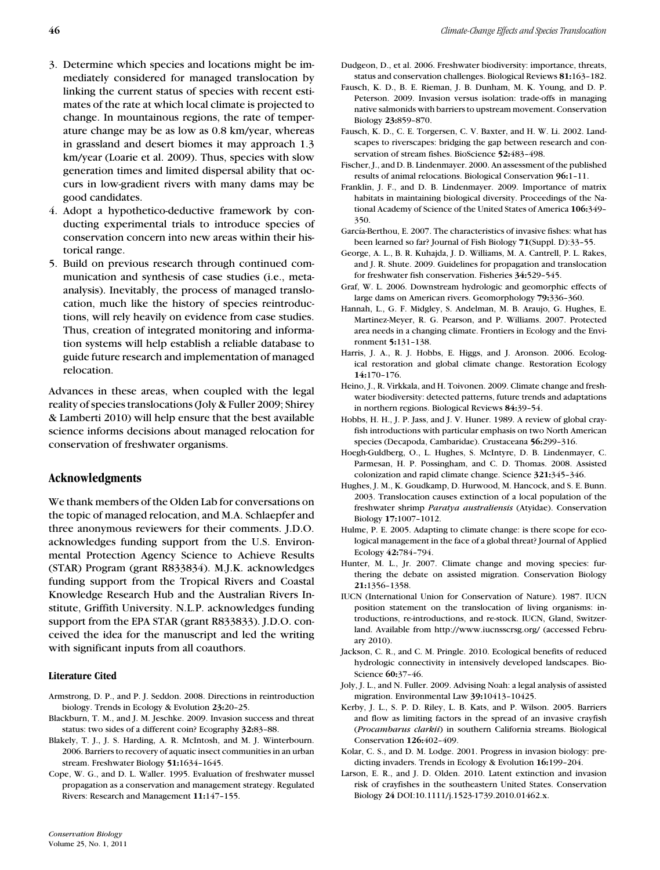- 3. Determine which species and locations might be immediately considered for managed translocation by linking the current status of species with recent estimates of the rate at which local climate is projected to change. In mountainous regions, the rate of temperature change may be as low as 0.8 km/year, whereas in grassland and desert biomes it may approach 1.3 km/year (Loarie et al. 2009). Thus, species with slow generation times and limited dispersal ability that occurs in low-gradient rivers with many dams may be good candidates.
- 4. Adopt a hypothetico-deductive framework by conducting experimental trials to introduce species of conservation concern into new areas within their historical range.
- 5. Build on previous research through continued communication and synthesis of case studies (i.e., metaanalysis). Inevitably, the process of managed translocation, much like the history of species reintroductions, will rely heavily on evidence from case studies. Thus, creation of integrated monitoring and information systems will help establish a reliable database to guide future research and implementation of managed relocation.

Advances in these areas, when coupled with the legal reality of species translocations (Joly & Fuller 2009; Shirey & Lamberti 2010) will help ensure that the best available science informs decisions about managed relocation for conservation of freshwater organisms.

## **Acknowledgments**

We thank members of the Olden Lab for conversations on the topic of managed relocation, and M.A. Schlaepfer and three anonymous reviewers for their comments. J.D.O. acknowledges funding support from the U.S. Environmental Protection Agency Science to Achieve Results (STAR) Program (grant R833834). M.J.K. acknowledges funding support from the Tropical Rivers and Coastal Knowledge Research Hub and the Australian Rivers Institute, Griffith University. N.L.P. acknowledges funding support from the EPA STAR (grant R833833). J.D.O. conceived the idea for the manuscript and led the writing with significant inputs from all coauthors.

#### **Literature Cited**

- Armstrong, D. P., and P. J. Seddon. 2008. Directions in reintroduction biology. Trends in Ecology & Evolution **23:**20–25.
- Blackburn, T. M., and J. M. Jeschke. 2009. Invasion success and threat status: two sides of a different coin? Ecography **32:**83–88.
- Blakely, T. J., J. S. Harding, A. R. McIntosh, and M. J. Winterbourn. 2006. Barriers to recovery of aquatic insect communities in an urban stream. Freshwater Biology **51:**1634–1645.
- Cope, W. G., and D. L. Waller. 1995. Evaluation of freshwater mussel propagation as a conservation and management strategy. Regulated Rivers: Research and Management **11:**147–155.
- Fausch, K. D., B. E. Rieman, J. B. Dunham, M. K. Young, and D. P. Peterson. 2009. Invasion versus isolation: trade-offs in managing native salmonids with barriers to upstream movement. Conservation Biology **23:**859–870.
- Fausch, K. D., C. E. Torgersen, C. V. Baxter, and H. W. Li. 2002. Landscapes to riverscapes: bridging the gap between research and conservation of stream fishes. BioScience **52:**483–498.
- Fischer, J., and D. B. Lindenmayer. 2000. An assessment of the published results of animal relocations. Biological Conservation **96:**1–11.
- Franklin, J. F., and D. B. Lindenmayer. 2009. Importance of matrix habitats in maintaining biological diversity. Proceedings of the National Academy of Science of the United States of America **106:**349– 350.
- García-Berthou, E. 2007. The characteristics of invasive fishes: what has been learned so far? Journal of Fish Biology **71**(Suppl. D):33–55.
- George, A. L., B. R. Kuhajda, J. D. Williams, M. A. Cantrell, P. L. Rakes, and J. R. Shute. 2009. Guidelines for propagation and translocation for freshwater fish conservation. Fisheries **34:**529–545.
- Graf, W. L. 2006. Downstream hydrologic and geomorphic effects of large dams on American rivers. Geomorphology **79:**336–360.
- Hannah, L., G. F. Midgley, S. Andelman, M. B. Araujo, G. Hughes, E. Martinez-Meyer, R. G. Pearson, and P. Williams. 2007. Protected area needs in a changing climate. Frontiers in Ecology and the Environment **5:**131–138.
- Harris, J. A., R. J. Hobbs, E. Higgs, and J. Aronson. 2006. Ecological restoration and global climate change. Restoration Ecology **14:**170–176.
- Heino, J., R. Virkkala, and H. Toivonen. 2009. Climate change and freshwater biodiversity: detected patterns, future trends and adaptations in northern regions. Biological Reviews **84:**39–54.
- Hobbs, H. H., J. P. Jass, and J. V. Huner. 1989. A review of global crayfish introductions with particular emphasis on two North American species (Decapoda, Cambaridae). Crustaceana **56:**299–316.
- Hoegh-Guldberg, O., L. Hughes, S. McIntyre, D. B. Lindenmayer, C. Parmesan, H. P. Possingham, and C. D. Thomas. 2008. Assisted colonization and rapid climate change. Science **321:**345–346.
- Hughes, J. M., K. Goudkamp, D. Hurwood, M. Hancock, and S. E. Bunn. 2003. Translocation causes extinction of a local population of the freshwater shrimp *Paratya australiensis* (Atyidae). Conservation Biology **17:**1007–1012.
- Hulme, P. E. 2005. Adapting to climate change: is there scope for ecological management in the face of a global threat? Journal of Applied Ecology **42:**784–794.
- Hunter, M. L., Jr. 2007. Climate change and moving species: furthering the debate on assisted migration. Conservation Biology **21:**1356–1358.
- IUCN (International Union for Conservation of Nature). 1987. IUCN position statement on the translocation of living organisms: introductions, re-introductions, and re-stock. IUCN, Gland, Switzerland. Available from http://www.iucnsscrsg.org/ (accessed February 2010).
- Jackson, C. R., and C. M. Pringle. 2010. Ecological benefits of reduced hydrologic connectivity in intensively developed landscapes. Bio-Science **60:**37–46.
- Joly, J. L., and N. Fuller. 2009. Advising Noah: a legal analysis of assisted migration. Environmental Law **39:**10413–10425.
- Kerby, J. L., S. P. D. Riley, L. B. Kats, and P. Wilson. 2005. Barriers and flow as limiting factors in the spread of an invasive crayfish (*Procambarus clarkii*) in southern California streams. Biological Conservation **126:**402–409.
- Kolar, C. S., and D. M. Lodge. 2001. Progress in invasion biology: predicting invaders. Trends in Ecology & Evolution **16:**199–204.
- Larson, E. R., and J. D. Olden. 2010. Latent extinction and invasion risk of crayfishes in the southeastern United States. Conservation Biology **24** DOI:10.1111/j.1523-1739.2010.01462.x.